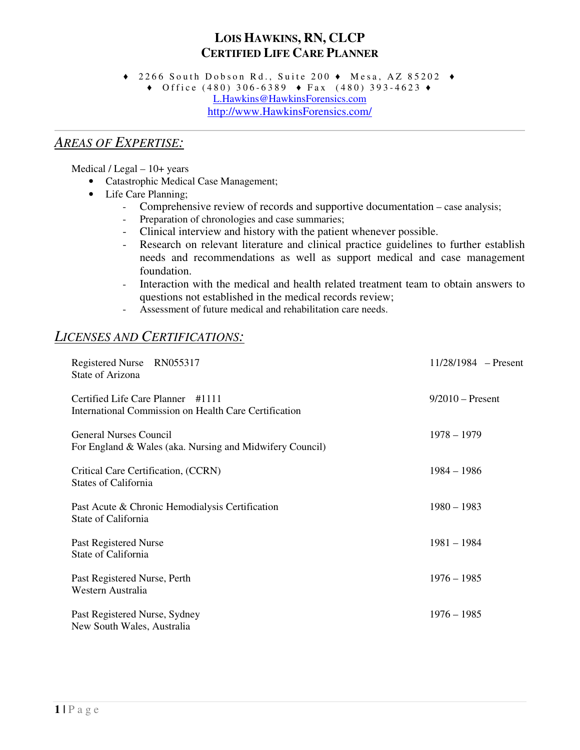# **LOIS HAWKINS, RN, CLCP CERTIFIED LIFE CARE PLANNER**

 $\bullet$  2266 South Dobson Rd., Suite 200  $\bullet$  Mesa, AZ 85202  $\bullet$ 

 $\bullet$  Office (480) 306-6389  $\bullet$  Fax (480) 393-4623  $\bullet$ L.Hawkins@HawkinsForensics.com http://www.HawkinsForensics.com/

#### *AREAS OF EXPERTISE:*

Medical / Legal – 10+ years

- Catastrophic Medical Case Management;
- Life Care Planning;
	- Comprehensive review of records and supportive documentation case analysis;
	- Preparation of chronologies and case summaries;
	- Clinical interview and history with the patient whenever possible.
	- Research on relevant literature and clinical practice guidelines to further establish needs and recommendations as well as support medical and case management foundation.
	- Interaction with the medical and health related treatment team to obtain answers to questions not established in the medical records review;
	- Assessment of future medical and rehabilitation care needs.

## *LICENSES AND CERTIFICATIONS:*

| Registered Nurse RN055317<br>State of Arizona                                              | $11/28/1984$ – Present |
|--------------------------------------------------------------------------------------------|------------------------|
| Certified Life Care Planner #1111<br>International Commission on Health Care Certification | $9/2010$ – Present     |
| <b>General Nurses Council</b><br>For England & Wales (aka. Nursing and Midwifery Council)  | $1978 - 1979$          |
| Critical Care Certification, (CCRN)<br><b>States of California</b>                         | $1984 - 1986$          |
| Past Acute & Chronic Hemodialysis Certification<br>State of California                     | $1980 - 1983$          |
| Past Registered Nurse<br>State of California                                               | $1981 - 1984$          |
| Past Registered Nurse, Perth<br>Western Australia                                          | $1976 - 1985$          |
| Past Registered Nurse, Sydney<br>New South Wales, Australia                                | $1976 - 1985$          |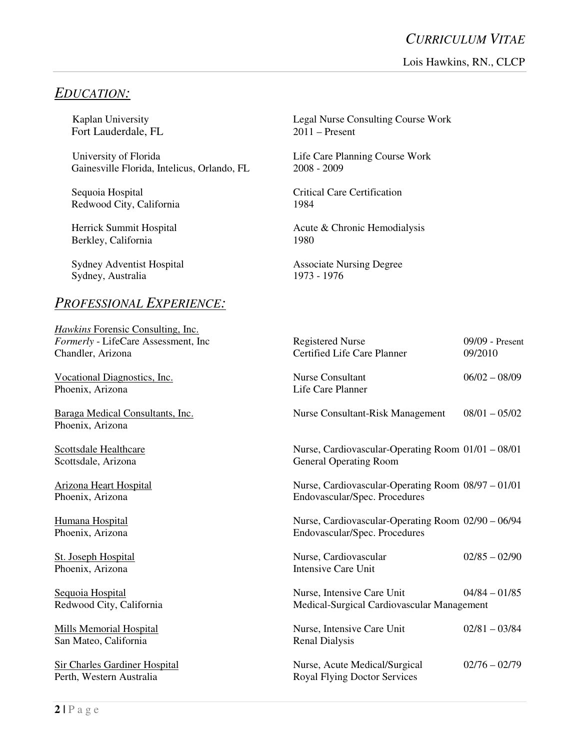## *EDUCATION:*

Fort Lauderdale, FL 2011 – Present

University of Florida Life Care Planning Course Work Gainesville Florida, Intelicus, Orlando, FL 2008 - 2009

Redwood City, California 1984

Berkley, California 1980

Sydney Adventist Hospital Associate Nursing Degree<br>
Sydney, Australia (1973 - 1976) Sydney, Australia

#### *PROFESSIONAL EXPERIENCE:*

*Hawkins* Forensic Consulting, Inc. *Formerly - LifeCare Assessment, Inc* Chandler, Arizona

Vocational Diagnostics, Inc. Phoenix, Arizona

Baraga Medical Consultants, Inc. Phoenix, Arizona

Scottsdale Healthcare Scottsdale, Arizona

Arizona Heart Hospital Phoenix, Arizona

Humana Hospital Phoenix, Arizona

St. Joseph Hospital Phoenix, Arizona

Sequoia Hospital Redwood City, California

Mills Memorial Hospital San Mateo, California

Sir Charles Gardiner Hospital Perth, Western Australia Royal Flying Doctor Services

Kaplan University Legal Nurse Consulting Course Work

Sequoia Hospital Critical Care Certification

Herrick Summit Hospital Acute & Chronic Hemodialysis

| <b>Registered Nurse</b><br>Certified Life Care Planner                              | $09/09$ - Present<br>09/2010 |
|-------------------------------------------------------------------------------------|------------------------------|
| <b>Nurse Consultant</b><br>Life Care Planner                                        | $06/02 - 08/09$              |
| <b>Nurse Consultant-Risk Management</b>                                             | $08/01 - 05/02$              |
| Nurse, Cardiovascular-Operating Room 01/01 - 08/01<br><b>General Operating Room</b> |                              |
| Nurse, Cardiovascular-Operating Room 08/97 - 01/01<br>Endovascular/Spec. Procedures |                              |
| Nurse, Cardiovascular-Operating Room 02/90 - 06/94<br>Endovascular/Spec. Procedures |                              |
| Nurse, Cardiovascular<br><b>Intensive Care Unit</b>                                 | $02/85 - 02/90$              |
| Nurse, Intensive Care Unit<br>Medical-Surgical Cardiovascular Management            | $04/84 - 01/85$              |
| Nurse, Intensive Care Unit<br><b>Renal Dialysis</b>                                 | $02/81 - 03/84$              |
| Nurse, Acute Medical/Surgical<br><b>Roval Flying Doctor Services</b>                | $02/76 - 02/79$              |